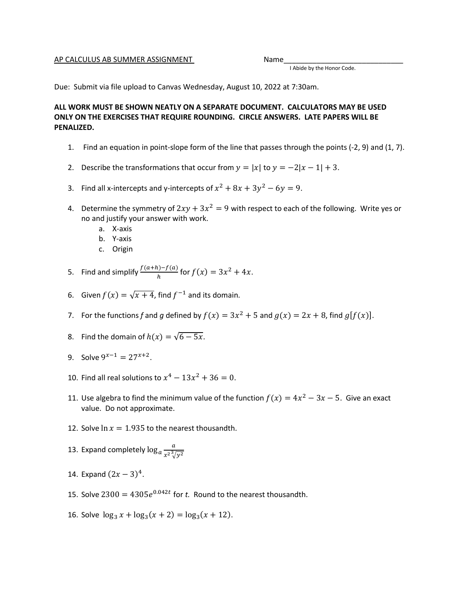## AP CALCULUS AB SUMMER ASSIGNMENT Name

I Abide by the Honor Code.

Due: Submit via file upload to Canvas Wednesday, August 10, 2022 at 7:30am.

## **ALL WORK MUST BE SHOWN NEATLY ON A SEPARATE DOCUMENT. CALCULATORS MAY BE USED ONLY ON THE EXERCISES THAT REQUIRE ROUNDING. CIRCLE ANSWERS. LATE PAPERS WILL BE PENALIZED.**

- 1. Find an equation in point-slope form of the line that passes through the points (-2, 9) and (1, 7).
- 2. Describe the transformations that occur from  $y = |x|$  to  $y = -2|x-1| + 3$ .
- 3. Find all x-intercepts and y-intercepts of  $x^2 + 8x + 3y^2 6y = 9$ .
- 4. Determine the symmetry of  $2xy + 3x^2 = 9$  with respect to each of the following. Write yes or no and justify your answer with work.
	- a. X-axis
	- b. Y-axis
	- c. Origin
- 5. Find and simplify  $\frac{f(a+h)-f(a)}{h}$  for  $f(x) = 3x^2 + 4x$ .
- 6. Given  $f(x) = \sqrt{x + 4}$ , find  $f^{-1}$  and its domain.
- 7. For the functions f and g defined by  $f(x) = 3x^2 + 5$  and  $g(x) = 2x + 8$ , find  $g[f(x)]$ .
- 8. Find the domain of  $h(x) = \sqrt{6 5x}$ .
- 9. Solve  $9^{x-1} = 27^{x+2}$ .
- 10. Find all real solutions to  $x^4 13x^2 + 36 = 0$ .
- 11. Use algebra to find the minimum value of the function  $f(x) = 4x^2 3x 5$ . Give an exact value. Do not approximate.
- 12. Solve  $\ln x = 1.935$  to the nearest thousandth.
- 13. Expand completely  $\log_a \frac{a}{r^{2^3/3}}$  $x^2\sqrt[3]{y^2}$
- 14. Expand  $(2x 3)^4$ .
- 15. Solve  $2300 = 4305e^{0.042t}$  for t. Round to the nearest thousandth.
- 16. Solve  $\log_3 x + \log_3(x + 2) = \log_3(x + 12)$ .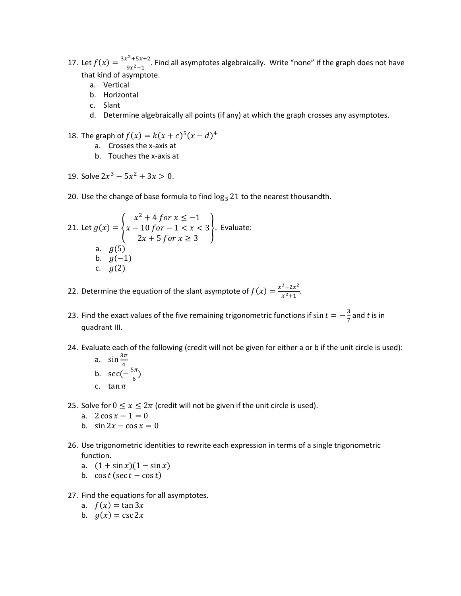- 17. Let  $f(x) = \frac{3x^2 + 5x + 2}{9x^2 1}$  $\frac{1}{9x^2-1}$ . Find all asymptotes algebraically. Write "none" if the graph does not have that kind of asymptote.
	- a. Vertical
	- b. Horizontal
	- c. Slant
	- d. Determine algebraically all points (if any) at which the graph crosses any asymptotes.
- 18. The graph of  $f(x) = k(x + c)^5 (x d)^4$ 
	- a. Crosses the x-axis at
	- b. Touches the x-axis at
- 19. Solve  $2x^3 5x^2 + 3x > 0$ .
- 20. Use the change of base formula to find  $\log_5 21$  to the nearest thousandth.

21. Let 
$$
g(x) = \begin{cases} x^2 + 4 \text{ for } x \le -1 \\ x - 10 \text{ for } -1 < x < 3 \\ 2x + 5 \text{ for } x \ge 3 \end{cases}
$$
. Evaluate:  
\na.  $g(5)$   
\nb.  $g(-1)$   
\nc.  $g(2)$ 

- 22. Determine the equation of the slant asymptote of  $f(x) = \frac{x^3 2x^2}{x^2 + 4}$  $\frac{2x}{x^2+1}$ .
- 23. Find the exact values of the five remaining trigonometric functions if sin  $t=-\frac{3}{7}$  $\frac{3}{7}$  and *t* is in quadrant III.
- 24. Evaluate each of the following (credit will not be given for either a or b if the unit circle is used): a.  $3\pi$

a. 
$$
\sin \frac{\pi}{4}
$$
  
b.  $\sec(-\frac{5\pi}{6})$ 

- c. tan  $\pi$
- 25. Solve for  $0 \le x \le 2\pi$  (credit will not be given if the unit circle is used).
	- a.  $2 \cos x 1 = 0$
	- b.  $\sin 2x \cos x = 0$
- 26. Use trigonometric identities to rewrite each expression in terms of a single trigonometric function.
	- a.  $(1 + \sin x)(1 \sin x)$
	- b.  $\cos t (\sec t \cos t)$
- 27. Find the equations for all asymptotes.
	- a.  $f(x) = \tan 3x$
	- b.  $g(x) = \csc 2x$